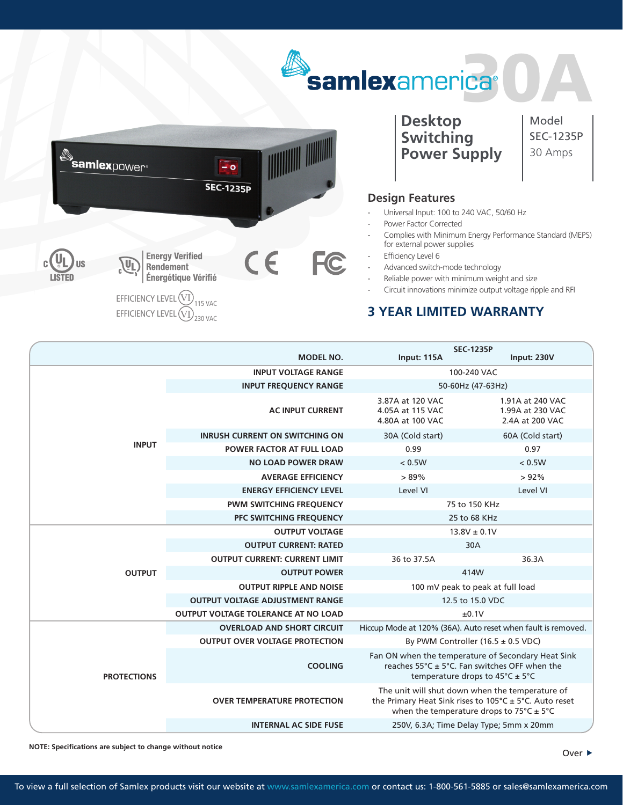

## **Design Features**

- Universal Input: 100 to 240 VAC, 50/60 Hz
- Power Factor Corrected
- Complies with Minimum Energy Performance Standard (MEPS) for external power supplies
- Efficiency Level 6
- Advanced switch-mode technology
- Reliable power with minimum weight and size
- Circuit innovations minimize output voltage ripple and RFI

## **3 YEAR LIMITED WARRANTY**

| Samlexpower <sup>®</sup> |                                                                                                                     | $ \circ$<br><b>SEC-1235P</b> |            |    |
|--------------------------|---------------------------------------------------------------------------------------------------------------------|------------------------------|------------|----|
| US<br><b>LISTED</b>      | <b>Energy Verified</b><br><u>e Siri</u><br>Rendement<br>Énergétique Vérifié<br>EFFICIENCY LEVEL<br>EFFICIENCY LEVEL | 115 VAC<br>230 VAC           | $\epsilon$ | FC |

|                    | <b>MODEL NO.</b>                                  | Input: 115A                                                                                                                                                                               | <b>SEC-1235P</b><br><b>Input: 230V</b>                  |
|--------------------|---------------------------------------------------|-------------------------------------------------------------------------------------------------------------------------------------------------------------------------------------------|---------------------------------------------------------|
| <b>INPUT</b>       | <b>INPUT VOLTAGE RANGE</b>                        | 100-240 VAC                                                                                                                                                                               |                                                         |
|                    | <b>INPUT FREQUENCY RANGE</b><br>50-60Hz (47-63Hz) |                                                                                                                                                                                           |                                                         |
|                    | <b>AC INPUT CURRENT</b>                           | 3.87A at 120 VAC<br>4.05A at 115 VAC<br>4.80A at 100 VAC                                                                                                                                  | 1.91A at 240 VAC<br>1.99A at 230 VAC<br>2.4A at 200 VAC |
|                    | <b>INRUSH CURRENT ON SWITCHING ON</b>             | 30A (Cold start)                                                                                                                                                                          | 60A (Cold start)                                        |
|                    | <b>POWER FACTOR AT FULL LOAD</b>                  | 0.99                                                                                                                                                                                      | 0.97                                                    |
|                    | <b>NO LOAD POWER DRAW</b>                         | < 0.5W                                                                                                                                                                                    | < 0.5W                                                  |
|                    | <b>AVERAGE EFFICIENCY</b>                         | >89%                                                                                                                                                                                      | >92%                                                    |
|                    | <b>ENERGY EFFICIENCY LEVEL</b>                    | Level VI                                                                                                                                                                                  | Level VI                                                |
|                    | <b>PWM SWITCHING FREQUENCY</b>                    | 75 to 150 KHz                                                                                                                                                                             |                                                         |
|                    | PFC SWITCHING FREQUENCY                           | 25 to 68 KHz                                                                                                                                                                              |                                                         |
| <b>OUTPUT</b>      | <b>OUTPUT VOLTAGE</b>                             | $13.8V \pm 0.1V$                                                                                                                                                                          |                                                         |
|                    | <b>OUTPUT CURRENT: RATED</b>                      | 30A                                                                                                                                                                                       |                                                         |
|                    | <b>OUTPUT CURRENT: CURRENT LIMIT</b>              | 36 to 37.5A                                                                                                                                                                               | 36.3A                                                   |
|                    | <b>OUTPUT POWER</b>                               | 414W                                                                                                                                                                                      |                                                         |
|                    | <b>OUTPUT RIPPLE AND NOISE</b>                    | 100 mV peak to peak at full load                                                                                                                                                          |                                                         |
|                    | <b>OUTPUT VOLTAGE ADJUSTMENT RANGE</b>            | 12.5 to 15.0 VDC                                                                                                                                                                          |                                                         |
|                    | <b>OUTPUT VOLTAGE TOLERANCE AT NO LOAD</b>        | ±0.1V                                                                                                                                                                                     |                                                         |
| <b>PROTECTIONS</b> | <b>OVERLOAD AND SHORT CIRCUIT</b>                 | Hiccup Mode at 120% (36A). Auto reset when fault is removed.                                                                                                                              |                                                         |
|                    | <b>OUTPUT OVER VOLTAGE PROTECTION</b>             | By PWM Controller $(16.5 \pm 0.5 \text{ VDC})$                                                                                                                                            |                                                         |
|                    | <b>COOLING</b>                                    | Fan ON when the temperature of Secondary Heat Sink<br>reaches 55°C ± 5°C. Fan switches OFF when the<br>temperature drops to $45^{\circ}$ C ± 5°C                                          |                                                         |
|                    | <b>OVER TEMPERATURE PROTECTION</b>                | The unit will shut down when the temperature of<br>the Primary Heat Sink rises to 105 $^{\circ}$ C ± 5 $^{\circ}$ C. Auto reset<br>when the temperature drops to $75^{\circ}$ C $\pm$ 5°C |                                                         |
|                    | <b>INTERNAL AC SIDE FUSE</b>                      |                                                                                                                                                                                           | 250V, 6.3A; Time Delay Type; 5mm x 20mm                 |

**NOTE: Specifications are subject to change without notice Notational set of the COVET** ▶ Over ▶ Over ▶ Over ▶